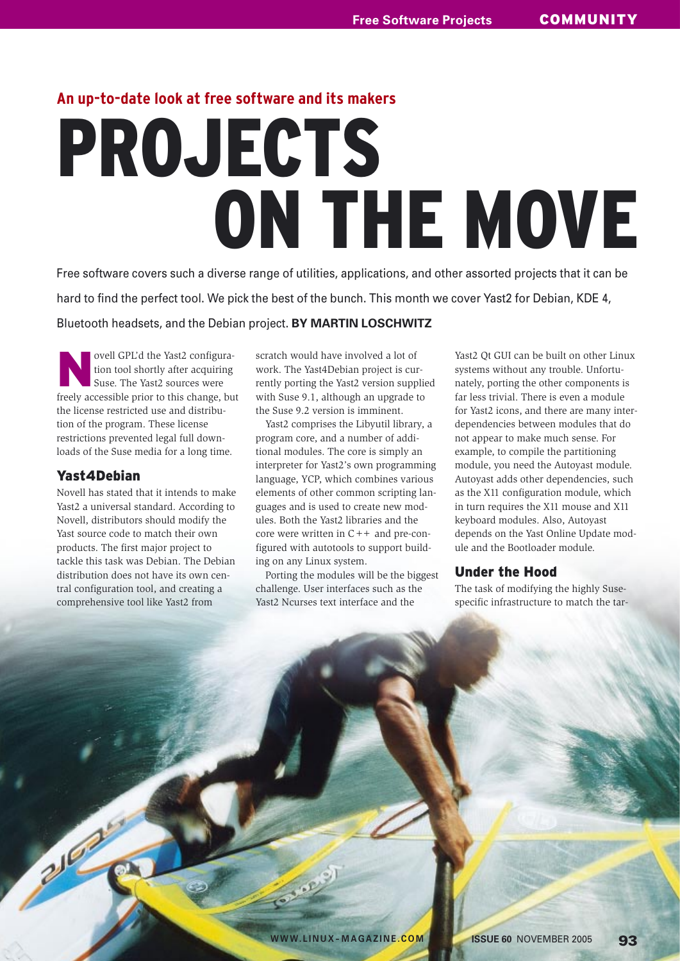# **An up-to-date look at free software and its makers**

# PROJECTS ON THE MOVE

Free software covers such a diverse range of utilities, applications, and other assorted projects that it can be hard to find the perfect tool. We pick the best of the bunch. This month we cover Yast2 for Debian, KDE 4,

# Bluetooth headsets, and the Debian project. **BY MARTIN LOSCHWITZ**

ovell GPL'd the Yast2 configura-<br>tion tool shortly after acquiring<br>Suse. The Yast2 sources were tion tool shortly after acquiring Suse. The Yast2 sources were freely accessible prior to this change, but the license restricted use and distribution of the program. These license restrictions prevented legal full downloads of the Suse media for a long time.

# Yast4Debian

**COLLEGE DE** 

Novell has stated that it intends to make Yast2 a universal standard. According to Novell, distributors should modify the Yast source code to match their own products. The first major project to tackle this task was Debian. The Debian distribution does not have its own central configuration tool, and creating a comprehensive tool like Yast2 from

scratch would have involved a lot of work. The Yast4Debian project is currently porting the Yast2 version supplied with Suse 9.1, although an upgrade to the Suse 9.2 version is imminent.

Yast2 comprises the Libyutil library, a program core, and a number of additional modules. The core is simply an interpreter for Yast2's own programming language, YCP, which combines various elements of other common scripting languages and is used to create new modules. Both the Yast2 libraries and the core were written in  $C++$  and pre-configured with autotools to support building on any Linux system.

Porting the modules will be the biggest challenge. User interfaces such as the Yast2 Ncurses text interface and the

Yast2 Qt GUI can be built on other Linux systems without any trouble. Unfortunately, porting the other components is far less trivial. There is even a module for Yast2 icons, and there are many interdependencies between modules that do not appear to make much sense. For example, to compile the partitioning module, you need the Autoyast module. Autoyast adds other dependencies, such as the X11 configuration module, which in turn requires the X11 mouse and X11 keyboard modules. Also, Autoyast depends on the Yast Online Update module and the Bootloader module.

# Under the Hood

The task of modifying the highly Susespecific infrastructure to match the tar-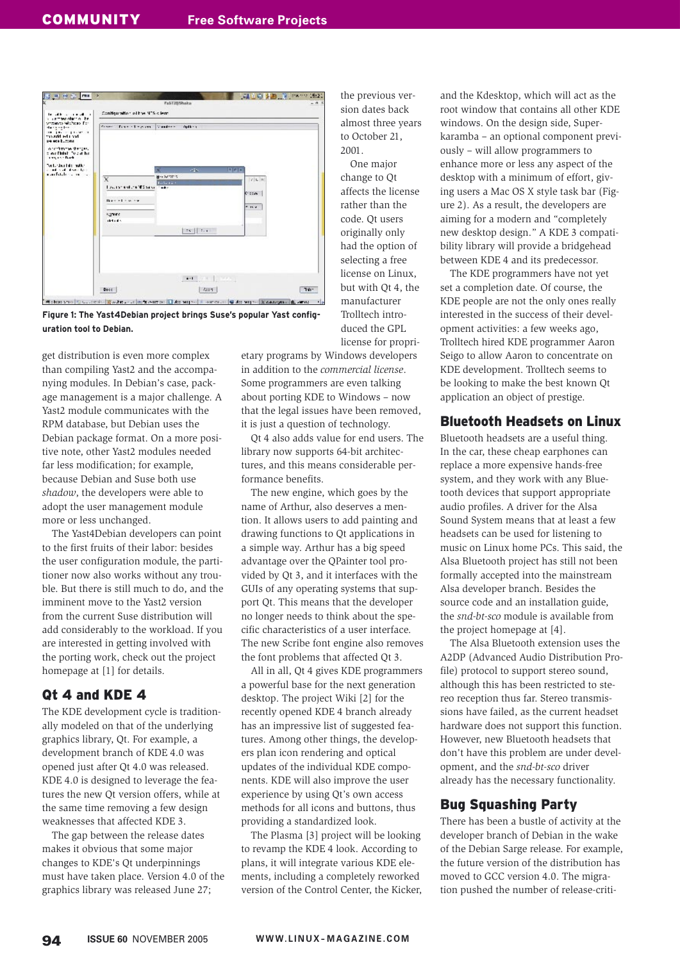

**Figure 1: The Yast4Debian project brings Suse's popular Yast configuration tool to Debian.**

get distribution is even more complex than compiling Yast2 and the accompanying modules. In Debian's case, package management is a major challenge. A Yast2 module communicates with the RPM database, but Debian uses the Debian package format. On a more positive note, other Yast2 modules needed far less modification; for example, because Debian and Suse both use *shadow*, the developers were able to adopt the user management module more or less unchanged.

The Yast4Debian developers can point to the first fruits of their labor: besides the user configuration module, the partitioner now also works without any trouble. But there is still much to do, and the imminent move to the Yast2 version from the current Suse distribution will add considerably to the workload. If you are interested in getting involved with the porting work, check out the project homepage at [1] for details.

## Qt 4 and KDE 4

The KDE development cycle is traditionally modeled on that of the underlying graphics library, Qt. For example, a development branch of KDE 4.0 was opened just after Qt 4.0 was released. KDE 4.0 is designed to leverage the features the new Qt version offers, while at the same time removing a few design weaknesses that affected KDE 3.

The gap between the release dates makes it obvious that some major changes to KDE's Qt underpinnings must have taken place. Version 4.0 of the graphics library was released June 27;

the previous version dates back almost three years to October 21, 2001.

One major change to Qt affects the license rather than the code. Qt users originally only had the option of selecting a free license on Linux, but with Qt 4, the manufacturer Trolltech introduced the GPL license for propri-

etary programs by Windows developers in addition to the *commercial license*. Some programmers are even talking about porting KDE to Windows – now that the legal issues have been removed, it is just a question of technology.

Qt 4 also adds value for end users. The library now supports 64-bit architectures, and this means considerable performance benefits.

The new engine, which goes by the name of Arthur, also deserves a mention. It allows users to add painting and drawing functions to Qt applications in a simple way. Arthur has a big speed advantage over the QPainter tool provided by Qt 3, and it interfaces with the GUIs of any operating systems that support Qt. This means that the developer no longer needs to think about the specific characteristics of a user interface. The new Scribe font engine also removes the font problems that affected Qt 3.

All in all, Qt 4 gives KDE programmers a powerful base for the next generation desktop. The project Wiki [2] for the recently opened KDE 4 branch already has an impressive list of suggested features. Among other things, the developers plan icon rendering and optical updates of the individual KDE components. KDE will also improve the user experience by using Qt's own access methods for all icons and buttons, thus providing a standardized look.

The Plasma [3] project will be looking to revamp the KDE 4 look. According to plans, it will integrate various KDE elements, including a completely reworked version of the Control Center, the Kicker, and the Kdesktop, which will act as the root window that contains all other KDE windows. On the design side, Superkaramba – an optional component previously – will allow programmers to enhance more or less any aspect of the desktop with a minimum of effort, giving users a Mac OS X style task bar (Figure 2). As a result, the developers are aiming for a modern and "completely new desktop design." A KDE 3 compatibility library will provide a bridgehead between KDE 4 and its predecessor.

The KDE programmers have not yet set a completion date. Of course, the KDE people are not the only ones really interested in the success of their development activities: a few weeks ago, Trolltech hired KDE programmer Aaron Seigo to allow Aaron to concentrate on KDE development. Trolltech seems to be looking to make the best known Qt application an object of prestige.

# Bluetooth Headsets on Linux

Bluetooth headsets are a useful thing. In the car, these cheap earphones can replace a more expensive hands-free system, and they work with any Bluetooth devices that support appropriate audio profiles. A driver for the Alsa Sound System means that at least a few headsets can be used for listening to music on Linux home PCs. This said, the Alsa Bluetooth project has still not been formally accepted into the mainstream Alsa developer branch. Besides the source code and an installation guide, the *snd-bt-sco* module is available from the project homepage at [4].

The Alsa Bluetooth extension uses the A2DP (Advanced Audio Distribution Profile) protocol to support stereo sound, although this has been restricted to stereo reception thus far. Stereo transmissions have failed, as the current headset hardware does not support this function. However, new Bluetooth headsets that don't have this problem are under development, and the *snd-bt-sco* driver already has the necessary functionality.

# Bug Squashing Party

There has been a bustle of activity at the developer branch of Debian in the wake of the Debian Sarge release. For example, the future version of the distribution has moved to GCC version 4.0. The migration pushed the number of release-criti